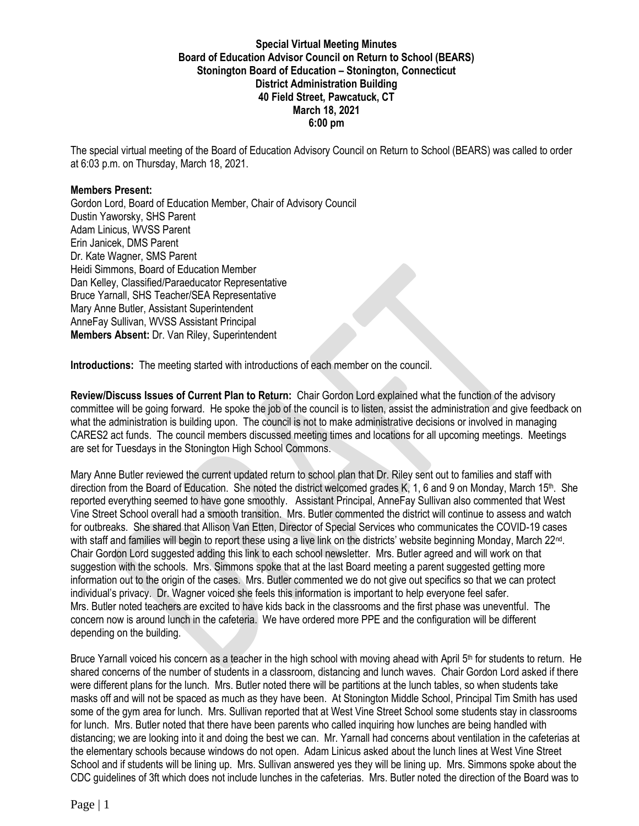# **Special Virtual Meeting Minutes Board of Education Advisor Council on Return to School (BEARS) Stonington Board of Education – Stonington, Connecticut District Administration Building 40 Field Street, Pawcatuck, CT March 18, 2021 6:00 pm**

The special virtual meeting of the Board of Education Advisory Council on Return to School (BEARS) was called to order at 6:03 p.m. on Thursday, March 18, 2021.

#### **Members Present:**

Gordon Lord, Board of Education Member, Chair of Advisory Council Dustin Yaworsky, SHS Parent Adam Linicus, WVSS Parent Erin Janicek, DMS Parent Dr. Kate Wagner, SMS Parent Heidi Simmons, Board of Education Member Dan Kelley, Classified/Paraeducator Representative Bruce Yarnall, SHS Teacher/SEA Representative Mary Anne Butler, Assistant Superintendent AnneFay Sullivan, WVSS Assistant Principal **Members Absent:** Dr. Van Riley, Superintendent

**Introductions:** The meeting started with introductions of each member on the council.

**Review/Discuss Issues of Current Plan to Return:** Chair Gordon Lord explained what the function of the advisory committee will be going forward. He spoke the job of the council is to listen, assist the administration and give feedback on what the administration is building upon. The council is not to make administrative decisions or involved in managing CARES2 act funds. The council members discussed meeting times and locations for all upcoming meetings. Meetings are set for Tuesdays in the Stonington High School Commons.

Mary Anne Butler reviewed the current updated return to school plan that Dr. Riley sent out to families and staff with direction from the Board of Education. She noted the district welcomed grades K, 1, 6 and 9 on Monday, March 15<sup>th</sup>. She reported everything seemed to have gone smoothly. Assistant Principal, AnneFay Sullivan also commented that West Vine Street School overall had a smooth transition. Mrs. Butler commented the district will continue to assess and watch for outbreaks. She shared that Allison Van Etten, Director of Special Services who communicates the COVID-19 cases with staff and families will begin to report these using a live link on the districts' website beginning Monday, March 22<sup>nd</sup>. Chair Gordon Lord suggested adding this link to each school newsletter. Mrs. Butler agreed and will work on that suggestion with the schools. Mrs. Simmons spoke that at the last Board meeting a parent suggested getting more information out to the origin of the cases. Mrs. Butler commented we do not give out specifics so that we can protect individual's privacy. Dr. Wagner voiced she feels this information is important to help everyone feel safer. Mrs. Butler noted teachers are excited to have kids back in the classrooms and the first phase was uneventful. The concern now is around lunch in the cafeteria. We have ordered more PPE and the configuration will be different depending on the building.

Bruce Yarnall voiced his concern as a teacher in the high school with moving ahead with April  $5<sup>th</sup>$  for students to return. He shared concerns of the number of students in a classroom, distancing and lunch waves. Chair Gordon Lord asked if there were different plans for the lunch. Mrs. Butler noted there will be partitions at the lunch tables, so when students take masks off and will not be spaced as much as they have been. At Stonington Middle School, Principal Tim Smith has used some of the gym area for lunch. Mrs. Sullivan reported that at West Vine Street School some students stay in classrooms for lunch. Mrs. Butler noted that there have been parents who called inquiring how lunches are being handled with distancing; we are looking into it and doing the best we can. Mr. Yarnall had concerns about ventilation in the cafeterias at the elementary schools because windows do not open. Adam Linicus asked about the lunch lines at West Vine Street School and if students will be lining up. Mrs. Sullivan answered yes they will be lining up. Mrs. Simmons spoke about the CDC guidelines of 3ft which does not include lunches in the cafeterias. Mrs. Butler noted the direction of the Board was to